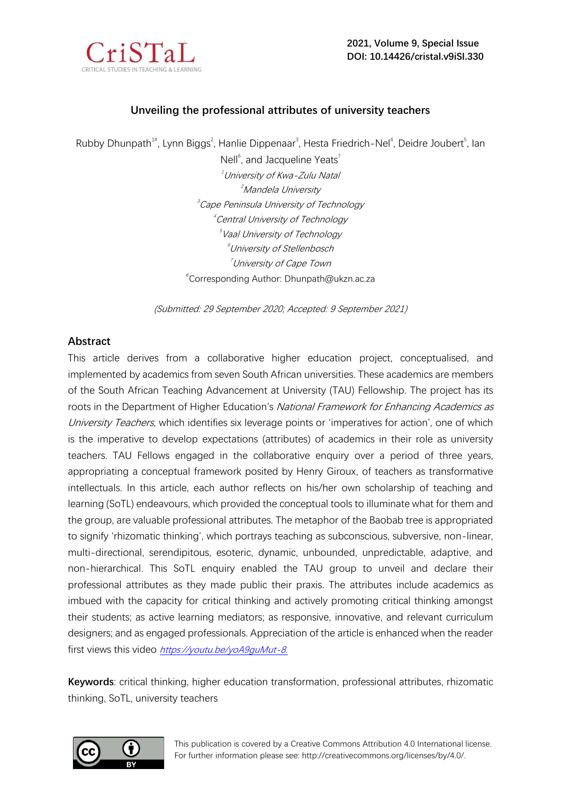

# **Unveiling the professional attributes of university teachers**

Rubby Dhunpath<sup>1#</sup>, Lynn Biggs<sup>2</sup>, Hanlie Dippenaar<sup>3</sup>, Hesta Friedrich-Nel<sup>4</sup>, Deidre Joubert<sup>5</sup>, Ian

Nell<sup>6</sup>, and Jacqueline Yeats<sup>7</sup>  $1$ University of Kwa-Zulu Natal <sup>2</sup>Mandela University 3 Cape Peninsula University of Technology 4 Central University of Technology 5 Vaal University of Technology <sup>6</sup>University of Stellenbosch <sup>7</sup>University of Cape Town # Corresponding Author: Dhunpath@ukzn.ac.za

(Submitted: 29 September 2020; Accepted: 9 September 2021)

## **Abstract**

This article derives from a collaborative higher education project, conceptualised, and implemented by academics from seven South African universities. These academics are members of the South African Teaching Advancement at University (TAU) Fellowship. The project has its roots in the Department of Higher Education's National Framework for Enhancing Academics as University Teachers, which identifies six leverage points or 'imperatives for action', one of which is the imperative to develop expectations (attributes) of academics in their role as university teachers. TAU Fellows engaged in the collaborative enquiry over a period of three years, appropriating a conceptual framework posited by Henry Giroux, of teachers as transformative intellectuals. In this article, each author reflects on his/her own scholarship of teaching and learning (SoTL) endeavours, which provided the conceptual tools to illuminate what for them and the group, are valuable professional attributes. The metaphor of the Baobab tree is appropriated to signify 'rhizomatic thinking', which portrays teaching as subconscious, subversive, non-linear, multi-directional, serendipitous, esoteric, dynamic, unbounded, unpredictable, adaptive, and non-hierarchical. This SoTL enquiry enabled the TAU group to unveil and declare their professional attributes as they made public their praxis. The attributes include academics as imbued with the capacity for critical thinking and actively promoting critical thinking amongst their students; as active learning mediators; as responsive, innovative, and relevant curriculum designers; and as engaged professionals. Appreciation of the article is enhanced when the reader first views this video [https://youtu.be/yoA9guMut-8.](https://youtu.be/yoA9guMut-8)

 **Keywords**: critical thinking, higher education transformation, professional attributes, rhizomatic thinking, SoTL, university teachers



This publication is covered by a Creative Commons Attribution 4.0 International license. For further information please see: http://creativecommons.org/licenses/by/4.0/.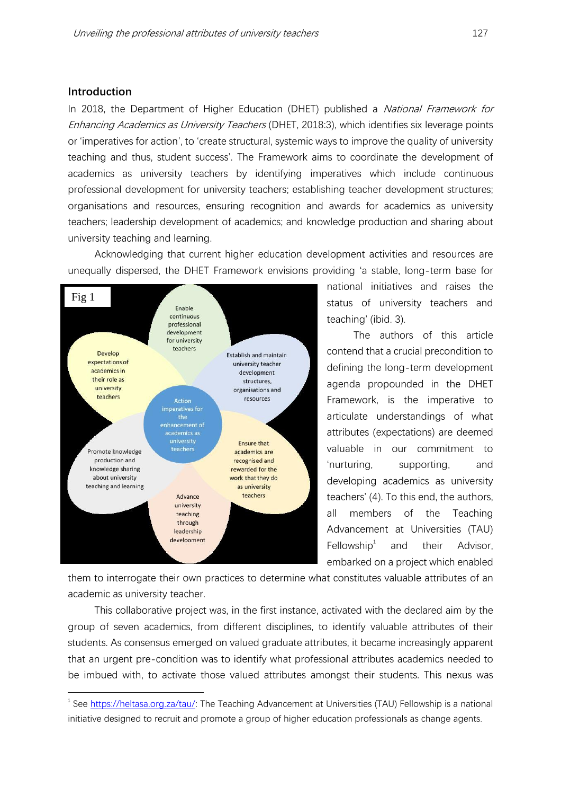### **Introduction**

In 2018, the Department of Higher Education (DHET) published a *National Framework for* Enhancing Academics as University Teachers (DHET, 2018:3), which identifies six leverage points or 'imperatives for action', to 'create structural, systemic ways to improve the quality of university teaching and thus, student success'. The Framework aims to coordinate the development of academics as university teachers by identifying imperatives which include continuous professional development for university teachers; establishing teacher development structures; organisations and resources, ensuring recognition and awards for academics as university teachers; leadership development of academics; and knowledge production and sharing about university teaching and learning.

Acknowledging that current higher education development activities and resources are unequally dispersed, the DHET Framework envisions providing 'a stable, long-term base for



national initiatives and raises the status of university teachers and teaching' (ibid. 3).

The authors of this article contend that a crucial precondition to defining the long-term development agenda propounded in the DHET Framework, is the imperative to articulate understandings of what attributes (expectations) are deemed valuable in our commitment to 'nurturing, supporting, and developing academics as university teachers' (4). To this end, the authors, all members of the Teaching Advancement at Universities (TAU) Fellowship $1$ and their Advisor, embarked on a project which enabled

them to interrogate their own practices to determine what constitutes valuable attributes of an academic as university teacher.

This collaborative project was, in the first instance, activated with the declared aim by the group of seven academics, from different disciplines, to identify valuable attributes of their students. As consensus emerged on valued graduate attributes, it became increasingly apparent that an urgent pre-condition was to identify what professional attributes academics needed to be imbued with, to activate those valued attributes amongst their students. This nexus was

<sup>&</sup>lt;sup>1</sup> See [https://heltasa.org.za/tau/:](https://heltasa.org.za/tau/) The Teaching Advancement at Universities (TAU) Fellowship is a national initiative designed to recruit and promote a group of higher education professionals as change agents.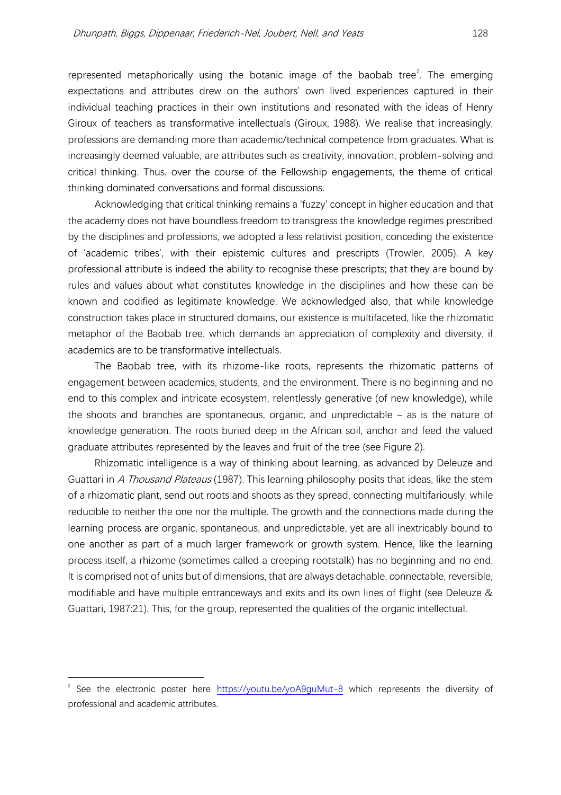represented metaphorically using the botanic image of the baobab tree<sup>2</sup>. The emerging expectations and attributes drew on the authors' own lived experiences captured in their individual teaching practices in their own institutions and resonated with the ideas of Henry Giroux of teachers as transformative intellectuals (Giroux, 1988). We realise that increasingly, professions are demanding more than academic/technical competence from graduates. What is increasingly deemed valuable, are attributes such as creativity, innovation, problem-solving and critical thinking. Thus, over the course of the Fellowship engagements, the theme of critical thinking dominated conversations and formal discussions.

Acknowledging that critical thinking remains a 'fuzzy' concept in higher education and that the academy does not have boundless freedom to transgress the knowledge regimes prescribed by the disciplines and professions, we adopted a less relativist position, conceding the existence of 'academic tribes', with their epistemic cultures and prescripts (Trowler, 2005). A key professional attribute is indeed the ability to recognise these prescripts; that they are bound by rules and values about what constitutes knowledge in the disciplines and how these can be known and codified as legitimate knowledge. We acknowledged also, that while knowledge construction takes place in structured domains, our existence is multifaceted, like the rhizomatic metaphor of the Baobab tree, which demands an appreciation of complexity and diversity, if academics are to be transformative intellectuals.

The Baobab tree, with its rhizome-like roots, represents the rhizomatic patterns of engagement between academics, students, and the environment. There is no beginning and no end to this complex and intricate ecosystem, relentlessly generative (of new knowledge), while the shoots and branches are spontaneous, organic, and unpredictable – as is the nature of knowledge generation. The roots buried deep in the African soil, anchor and feed the valued graduate attributes represented by the leaves and fruit of the tree (see Figure 2).

Rhizomatic intelligence is a way of thinking about learning, as advanced by Deleuze and Guattari in A Thousand Plateaus (1987). This learning philosophy posits that ideas, like the stem of a rhizomatic plant, send out roots and shoots as they spread, connecting multifariously, while reducible to neither the one nor the multiple. The growth and the connections made during the learning process are organic, spontaneous, and unpredictable, yet are all inextricably bound to one another as part of a much larger framework or growth system. Hence, like the learning process itself, a rhizome (sometimes called a creeping rootstalk) has no beginning and no end. It is comprised not of units but of dimensions, that are always detachable, connectable, reversible, modifiable and have multiple entranceways and exits and its own lines of flight (see Deleuze & Guattari, 1987:21). This, for the group, represented the qualities of the organic intellectual.

<sup>2</sup> See the electronic poster here <https://youtu.be/yoA9guMut-8> which represents the diversity of professional and academic attributes.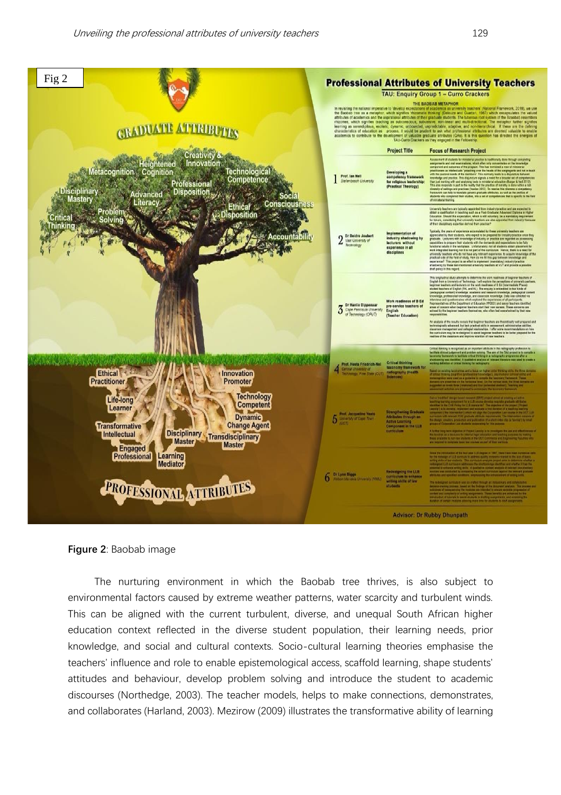

**Figure 2**: Baobab image

The nurturing environment in which the Baobab tree thrives, is also subject to environmental factors caused by extreme weather patterns, water scarcity and turbulent winds. This can be aligned with the current turbulent, diverse, and unequal South African higher education context reflected in the diverse student population, their learning needs, prior knowledge, and social and cultural contexts. Socio-cultural learning theories emphasise the teachers' influence and role to enable epistemological access, scaffold learning, shape students' attitudes and behaviour, develop problem solving and introduce the student to academic discourses (Northedge, 2003). The teacher models, helps to make connections, demonstrates, and collaborates (Harland, 2003). Mezirow (2009) illustrates the transformative ability of learning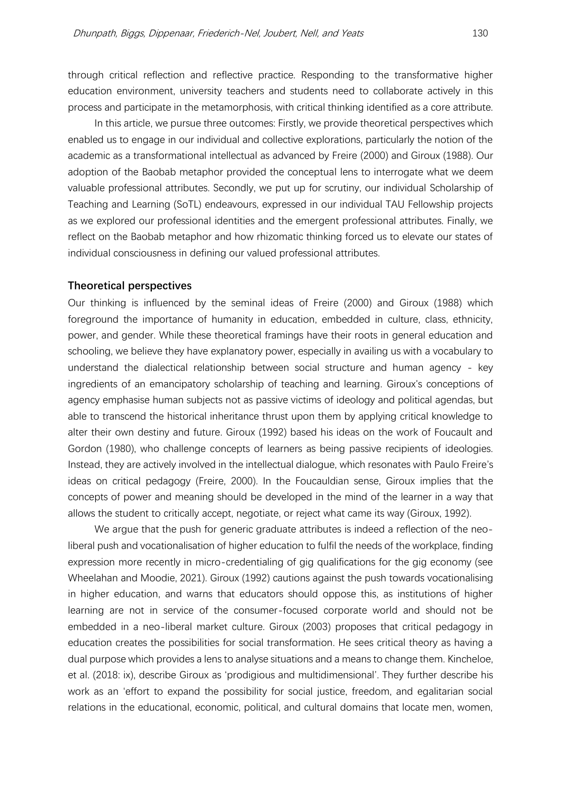through critical reflection and reflective practice. Responding to the transformative higher education environment, university teachers and students need to collaborate actively in this process and participate in the metamorphosis, with critical thinking identified as a core attribute.

In this article, we pursue three outcomes: Firstly, we provide theoretical perspectives which enabled us to engage in our individual and collective explorations, particularly the notion of the academic as a transformational intellectual as advanced by Freire (2000) and Giroux (1988). Our adoption of the Baobab metaphor provided the conceptual lens to interrogate what we deem valuable professional attributes. Secondly, we put up for scrutiny, our individual Scholarship of Teaching and Learning (SoTL) endeavours, expressed in our individual TAU Fellowship projects as we explored our professional identities and the emergent professional attributes. Finally, we reflect on the Baobab metaphor and how rhizomatic thinking forced us to elevate our states of individual consciousness in defining our valued professional attributes.

#### **Theoretical perspectives**

Our thinking is influenced by the seminal ideas of Freire (2000) and Giroux (1988) which foreground the importance of humanity in education, embedded in culture, class, ethnicity, power, and gender. While these theoretical framings have their roots in general education and schooling, we believe they have explanatory power, especially in availing us with a vocabulary to understand the dialectical relationship between social structure and human agency - key ingredients of an emancipatory scholarship of teaching and learning. Giroux's conceptions of agency emphasise human subjects not as passive victims of ideology and political agendas, but able to transcend the historical inheritance thrust upon them by applying critical knowledge to alter their own destiny and future. Giroux (1992) based his ideas on the work of Foucault and Gordon (1980), who challenge concepts of learners as being passive recipients of ideologies. Instead, they are actively involved in the intellectual dialogue, which resonates with Paulo Freire's ideas on critical pedagogy (Freire, 2000). In the Foucauldian sense, Giroux implies that the concepts of power and meaning should be developed in the mind of the learner in a way that allows the student to critically accept, negotiate, or reject what came its way (Giroux, 1992).

We argue that the push for generic graduate attributes is indeed a reflection of the neoliberal push and vocationalisation of higher education to fulfil the needs of the workplace, finding expression more recently in micro-credentialing of gig qualifications for the gig economy (see Wheelahan and Moodie, 2021). Giroux (1992) cautions against the push towards vocationalising in higher education, and warns that educators should oppose this, as institutions of higher learning are not in service of the consumer-focused corporate world and should not be embedded in a neo-liberal market culture. Giroux (2003) proposes that critical pedagogy in education creates the possibilities for social transformation. He sees critical theory as having a dual purpose which provides a lens to analyse situations and a means to change them. Kincheloe, et al. (2018: ix), describe Giroux as 'prodigious and multidimensional'. They further describe his work as an 'effort to expand the possibility for social justice, freedom, and egalitarian social relations in the educational, economic, political, and cultural domains that locate men, women,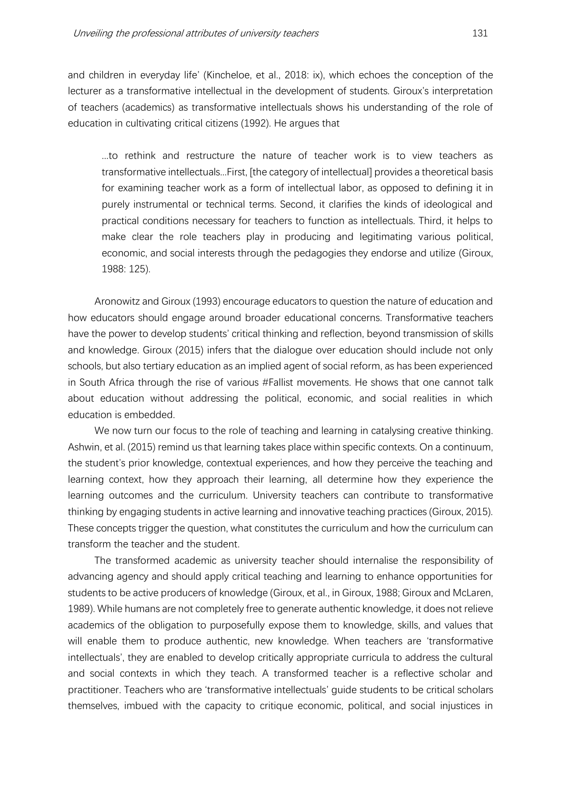and children in everyday life' (Kincheloe, et al., 2018: ix), which echoes the conception of the lecturer as a transformative intellectual in the development of students. Giroux's interpretation of teachers (academics) as transformative intellectuals shows his understanding of the role of education in cultivating critical citizens (1992). He argues that

...to rethink and restructure the nature of teacher work is to view teachers as transformative intellectuals...First, [the category of intellectual] provides a theoretical basis for examining teacher work as a form of intellectual labor, as opposed to defining it in purely instrumental or technical terms. Second, it clarifies the kinds of ideological and practical conditions necessary for teachers to function as intellectuals. Third, it helps to make clear the role teachers play in producing and legitimating various political, economic, and social interests through the pedagogies they endorse and utilize (Giroux, 1988: 125).

Aronowitz and Giroux (1993) encourage educators to question the nature of education and how educators should engage around broader educational concerns. Transformative teachers have the power to develop students' critical thinking and reflection, beyond transmission of skills and knowledge. Giroux (2015) infers that the dialogue over education should include not only schools, but also tertiary education as an implied agent of social reform, as has been experienced in South Africa through the rise of various #Fallist movements. He shows that one cannot talk about education without addressing the political, economic, and social realities in which education is embedded.

We now turn our focus to the role of teaching and learning in catalysing creative thinking. Ashwin, et al. (2015) remind us that learning takes place within specific contexts. On a continuum, the student's prior knowledge, contextual experiences, and how they perceive the teaching and learning context, how they approach their learning, all determine how they experience the learning outcomes and the curriculum. University teachers can contribute to transformative thinking by engaging students in active learning and innovative teaching practices (Giroux, 2015). These concepts trigger the question, what constitutes the curriculum and how the curriculum can transform the teacher and the student.

The transformed academic as university teacher should internalise the responsibility of advancing agency and should apply critical teaching and learning to enhance opportunities for students to be active producers of knowledge (Giroux, et al., in Giroux, 1988; Giroux and McLaren, 1989). While humans are not completely free to generate authentic knowledge, it does not relieve academics of the obligation to purposefully expose them to knowledge, skills, and values that will enable them to produce authentic, new knowledge. When teachers are 'transformative intellectuals', they are enabled to develop critically appropriate curricula to address the cultural and social contexts in which they teach. A transformed teacher is a reflective scholar and practitioner. Teachers who are 'transformative intellectuals' guide students to be critical scholars themselves, imbued with the capacity to critique economic, political, and social injustices in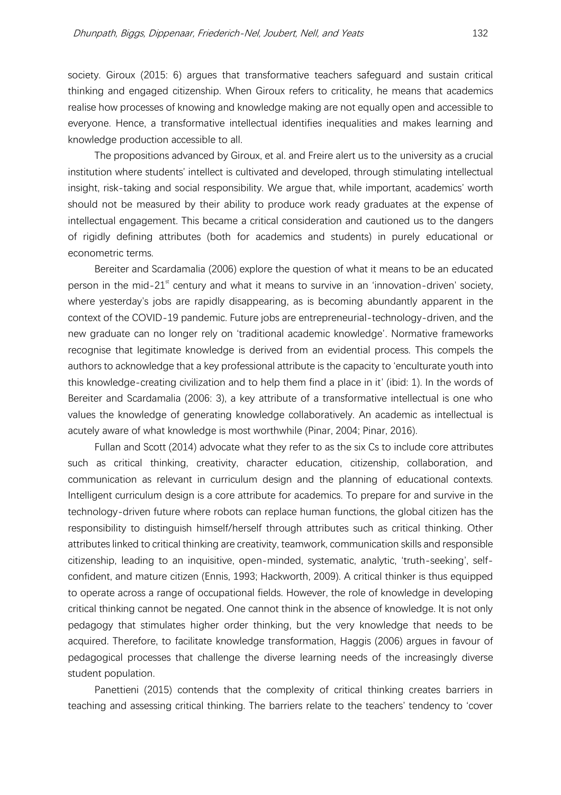society. Giroux (2015: 6) argues that transformative teachers safeguard and sustain critical thinking and engaged citizenship. When Giroux refers to criticality, he means that academics realise how processes of knowing and knowledge making are not equally open and accessible to everyone. Hence, a transformative intellectual identifies inequalities and makes learning and knowledge production accessible to all.

The propositions advanced by Giroux, et al. and Freire alert us to the university as a crucial institution where students' intellect is cultivated and developed, through stimulating intellectual insight, risk-taking and social responsibility. We argue that, while important, academics' worth should not be measured by their ability to produce work ready graduates at the expense of intellectual engagement. This became a critical consideration and cautioned us to the dangers of rigidly defining attributes (both for academics and students) in purely educational or econometric terms.

Bereiter and Scardamalia (2006) explore the question of what it means to be an educated person in the mid-21 $^{\text{st}}$  century and what it means to survive in an 'innovation-driven' society, where yesterday's jobs are rapidly disappearing, as is becoming abundantly apparent in the context of the COVID-19 pandemic. Future jobs are entrepreneurial-technology-driven, and the new graduate can no longer rely on 'traditional academic knowledge'. Normative frameworks recognise that legitimate knowledge is derived from an evidential process. This compels the authors to acknowledge that a key professional attribute is the capacity to 'enculturate youth into this knowledge-creating civilization and to help them find a place in it' (ibid: 1). In the words of Bereiter and Scardamalia (2006: 3), a key attribute of a transformative intellectual is one who values the knowledge of generating knowledge collaboratively. An academic as intellectual is acutely aware of what knowledge is most worthwhile (Pinar, 2004; Pinar, 2016).

Fullan and Scott (2014) advocate what they refer to as the six Cs to include core attributes such as critical thinking, creativity, character education, citizenship, collaboration, and communication as relevant in curriculum design and the planning of educational contexts. Intelligent curriculum design is a core attribute for academics. To prepare for and survive in the technology-driven future where robots can replace human functions, the global citizen has the responsibility to distinguish himself/herself through attributes such as critical thinking. Other attributes linked to critical thinking are creativity, teamwork, communication skills and responsible citizenship, leading to an inquisitive, open-minded, systematic, analytic, 'truth-seeking', selfconfident, and mature citizen (Ennis, 1993; Hackworth, 2009). A critical thinker is thus equipped to operate across a range of occupational fields. However, the role of knowledge in developing critical thinking cannot be negated. One cannot think in the absence of knowledge. It is not only pedagogy that stimulates higher order thinking, but the very knowledge that needs to be acquired. Therefore, to facilitate knowledge transformation, Haggis (2006) argues in favour of pedagogical processes that challenge the diverse learning needs of the increasingly diverse student population.

Panettieni (2015) contends that the complexity of critical thinking creates barriers in teaching and assessing critical thinking. The barriers relate to the teachers' tendency to 'cover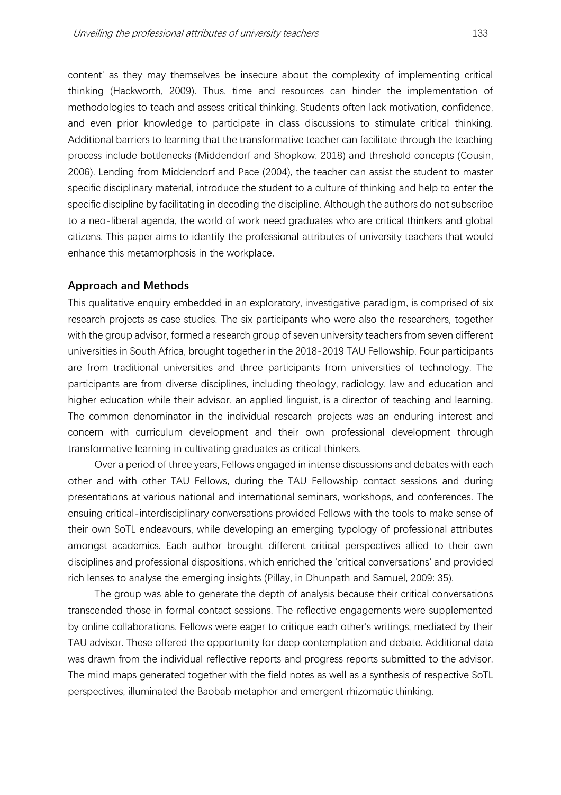content' as they may themselves be insecure about the complexity of implementing critical thinking (Hackworth, 2009). Thus, time and resources can hinder the implementation of methodologies to teach and assess critical thinking. Students often lack motivation, confidence, and even prior knowledge to participate in class discussions to stimulate critical thinking. Additional barriers to learning that the transformative teacher can facilitate through the teaching process include bottlenecks (Middendorf and Shopkow, 2018) and threshold concepts (Cousin, 2006). Lending from Middendorf and Pace (2004), the teacher can assist the student to master specific disciplinary material, introduce the student to a culture of thinking and help to enter the specific discipline by facilitating in decoding the discipline. Although the authors do not subscribe to a neo-liberal agenda, the world of work need graduates who are critical thinkers and global citizens. This paper aims to identify the professional attributes of university teachers that would enhance this metamorphosis in the workplace.

#### **Approach and Methods**

This qualitative enquiry embedded in an exploratory, investigative paradigm, is comprised of six research projects as case studies. The six participants who were also the researchers, together with the group advisor, formed a research group of seven university teachers from seven different universities in South Africa, brought together in the 2018-2019 TAU Fellowship. Four participants are from traditional universities and three participants from universities of technology. The participants are from diverse disciplines, including theology, radiology, law and education and higher education while their advisor, an applied linguist, is a director of teaching and learning. The common denominator in the individual research projects was an enduring interest and concern with curriculum development and their own professional development through transformative learning in cultivating graduates as critical thinkers.

Over a period of three years, Fellows engaged in intense discussions and debates with each other and with other TAU Fellows, during the TAU Fellowship contact sessions and during presentations at various national and international seminars, workshops, and conferences. The ensuing critical-interdisciplinary conversations provided Fellows with the tools to make sense of their own SoTL endeavours, while developing an emerging typology of professional attributes amongst academics. Each author brought different critical perspectives allied to their own disciplines and professional dispositions, which enriched the 'critical conversations' and provided rich lenses to analyse the emerging insights (Pillay, in Dhunpath and Samuel, 2009: 35).

The group was able to generate the depth of analysis because their critical conversations transcended those in formal contact sessions. The reflective engagements were supplemented by online collaborations. Fellows were eager to critique each other's writings, mediated by their TAU advisor. These offered the opportunity for deep contemplation and debate. Additional data was drawn from the individual reflective reports and progress reports submitted to the advisor. The mind maps generated together with the field notes as well as a synthesis of respective SoTL perspectives, illuminated the Baobab metaphor and emergent rhizomatic thinking.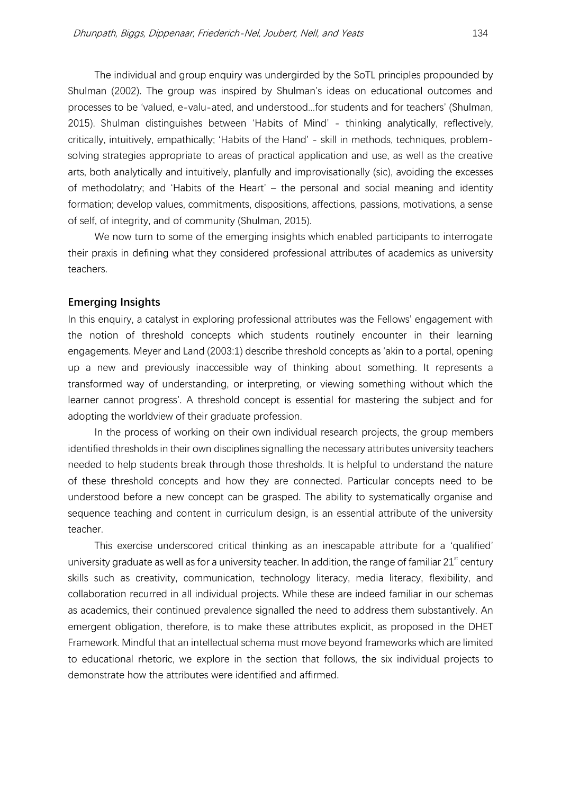The individual and group enquiry was undergirded by the SoTL principles propounded by Shulman (2002). The group was inspired by Shulman's ideas on educational outcomes and processes to be 'valued, e-valu-ated, and understood...for students and for teachers' (Shulman, 2015). Shulman distinguishes between 'Habits of Mind' - thinking analytically, reflectively, critically, intuitively, empathically; 'Habits of the Hand' - skill in methods, techniques, problemsolving strategies appropriate to areas of practical application and use, as well as the creative arts, both analytically and intuitively, planfully and improvisationally (sic), avoiding the excesses of methodolatry; and 'Habits of the Heart' – the personal and social meaning and identity formation; develop values, commitments, dispositions, affections, passions, motivations, a sense of self, of integrity, and of community (Shulman, 2015).

We now turn to some of the emerging insights which enabled participants to interrogate their praxis in defining what they considered professional attributes of academics as university teachers.

### **Emerging Insights**

In this enquiry, a catalyst in exploring professional attributes was the Fellows' engagement with the notion of threshold concepts which students routinely encounter in their learning engagements. Meyer and Land (2003:1) describe threshold concepts as 'akin to a portal, opening up a new and previously inaccessible way of thinking about something. It represents a transformed way of understanding, or interpreting, or viewing something without which the learner cannot progress'. A threshold concept is essential for mastering the subject and for adopting the worldview of their graduate profession.

In the process of working on their own individual research projects, the group members identified thresholds in their own disciplines signalling the necessary attributes university teachers needed to help students break through those thresholds. It is helpful to understand the nature of these threshold concepts and how they are connected. Particular concepts need to be understood before a new concept can be grasped. The ability to systematically organise and sequence teaching and content in curriculum design, is an essential attribute of the university teacher.

This exercise underscored critical thinking as an inescapable attribute for a 'qualified' university graduate as well as for a university teacher. In addition, the range of familiar  $21<sup>st</sup>$  century skills such as creativity, communication, technology literacy, media literacy, flexibility, and collaboration recurred in all individual projects. While these are indeed familiar in our schemas as academics, their continued prevalence signalled the need to address them substantively. An emergent obligation, therefore, is to make these attributes explicit, as proposed in the DHET Framework. Mindful that an intellectual schema must move beyond frameworks which are limited to educational rhetoric, we explore in the section that follows, the six individual projects to demonstrate how the attributes were identified and affirmed.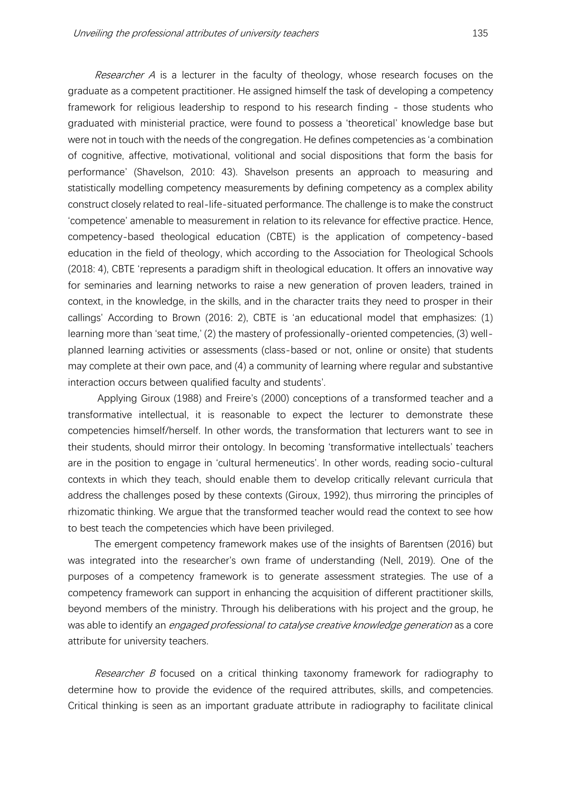Researcher A is a lecturer in the faculty of theology, whose research focuses on the graduate as a competent practitioner. He assigned himself the task of developing a competency framework for religious leadership to respond to his research finding - those students who graduated with ministerial practice, were found to possess a 'theoretical' knowledge base but were not in touch with the needs of the congregation. He defines competencies as 'a combination of cognitive, affective, motivational, volitional and social dispositions that form the basis for performance' (Shavelson, 2010: 43). Shavelson presents an approach to measuring and statistically modelling competency measurements by defining competency as a complex ability construct closely related to real-life-situated performance. The challenge is to make the construct 'competence' amenable to measurement in relation to its relevance for effective practice. Hence, competency-based theological education (CBTE) is the application of competency-based education in the field of theology, which according to the Association for Theological Schools (2018: 4), CBTE 'represents a paradigm shift in theological education. It offers an innovative way for seminaries and learning networks to raise a new generation of proven leaders, trained in context, in the knowledge, in the skills, and in the character traits they need to prosper in their callings' According to Brown (2016: 2), CBTE is 'an educational model that emphasizes: (1) learning more than 'seat time,' (2) the mastery of professionally-oriented competencies, (3) wellplanned learning activities or assessments (class-based or not, online or onsite) that students may complete at their own pace, and (4) a community of learning where regular and substantive interaction occurs between qualified faculty and students'.

Applying Giroux (1988) and Freire's (2000) conceptions of a transformed teacher and a transformative intellectual, it is reasonable to expect the lecturer to demonstrate these competencies himself/herself. In other words, the transformation that lecturers want to see in their students, should mirror their ontology. In becoming 'transformative intellectuals' teachers are in the position to engage in 'cultural hermeneutics'. In other words, reading socio-cultural contexts in which they teach, should enable them to develop critically relevant curricula that address the challenges posed by these contexts (Giroux, 1992), thus mirroring the principles of rhizomatic thinking. We argue that the transformed teacher would read the context to see how to best teach the competencies which have been privileged.

The emergent competency framework makes use of the insights of Barentsen (2016) but was integrated into the researcher's own frame of understanding (Nell, 2019). One of the purposes of a competency framework is to generate assessment strategies. The use of a competency framework can support in enhancing the acquisition of different practitioner skills, beyond members of the ministry. Through his deliberations with his project and the group, he was able to identify an *engaged professional to catalyse creative knowledge generation* as a core attribute for university teachers.

*Researcher B* focused on a critical thinking taxonomy framework for radiography to determine how to provide the evidence of the required attributes, skills, and competencies. Critical thinking is seen as an important graduate attribute in radiography to facilitate clinical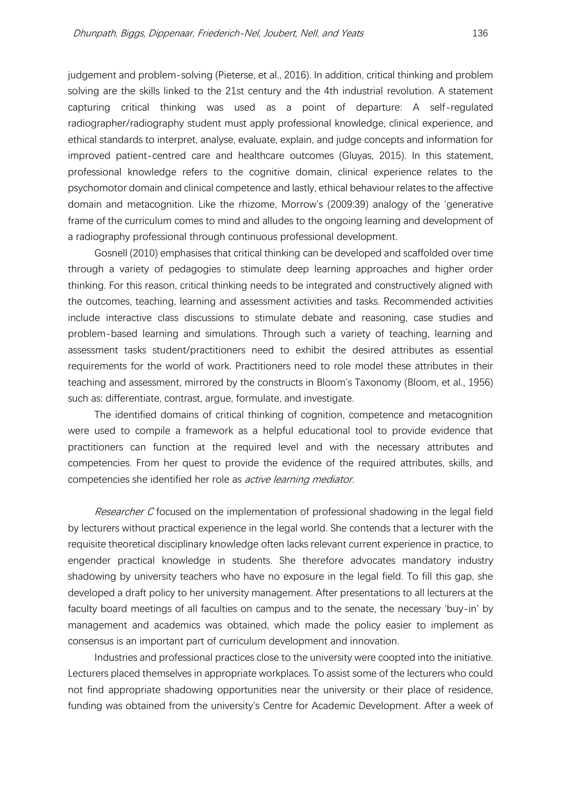judgement and problem-solving (Pieterse, et al., 2016). In addition, critical thinking and problem solving are the skills linked to the 21st century and the 4th industrial revolution. A statement capturing critical thinking was used as a point of departure: A self-regulated radiographer/radiography student must apply professional knowledge, clinical experience, and ethical standards to interpret, analyse, evaluate, explain, and judge concepts and information for improved patient-centred care and healthcare outcomes (Gluyas, 2015). In this statement, professional knowledge refers to the cognitive domain, clinical experience relates to the psychomotor domain and clinical competence and lastly, ethical behaviour relates to the affective domain and metacognition. Like the rhizome, Morrow's (2009:39) analogy of the 'generative frame of the curriculum comes to mind and alludes to the ongoing learning and development of a radiography professional through continuous professional development.

Gosnell (2010) emphasises that critical thinking can be developed and scaffolded over time through a variety of pedagogies to stimulate deep learning approaches and higher order thinking. For this reason, critical thinking needs to be integrated and constructively aligned with the outcomes, teaching, learning and assessment activities and tasks. Recommended activities include interactive class discussions to stimulate debate and reasoning, case studies and problem-based learning and simulations. Through such a variety of teaching, learning and assessment tasks student/practitioners need to exhibit the desired attributes as essential requirements for the world of work. Practitioners need to role model these attributes in their teaching and assessment, mirrored by the constructs in Bloom's Taxonomy (Bloom, et al., 1956) such as: differentiate, contrast, argue, formulate, and investigate.

The identified domains of critical thinking of cognition, competence and metacognition were used to compile a framework as a helpful educational tool to provide evidence that practitioners can function at the required level and with the necessary attributes and competencies. From her quest to provide the evidence of the required attributes, skills, and competencies she identified her role as *active learning mediator*.

Researcher C focused on the implementation of professional shadowing in the legal field by lecturers without practical experience in the legal world. She contends that a lecturer with the requisite theoretical disciplinary knowledge often lacks relevant current experience in practice, to engender practical knowledge in students. She therefore advocates mandatory industry shadowing by university teachers who have no exposure in the legal field. To fill this gap, she developed a draft policy to her university management. After presentations to all lecturers at the faculty board meetings of all faculties on campus and to the senate, the necessary 'buy-in' by management and academics was obtained, which made the policy easier to implement as consensus is an important part of curriculum development and innovation.

Industries and professional practices close to the university were coopted into the initiative. Lecturers placed themselves in appropriate workplaces. To assist some of the lecturers who could not find appropriate shadowing opportunities near the university or their place of residence, funding was obtained from the university's Centre for Academic Development. After a week of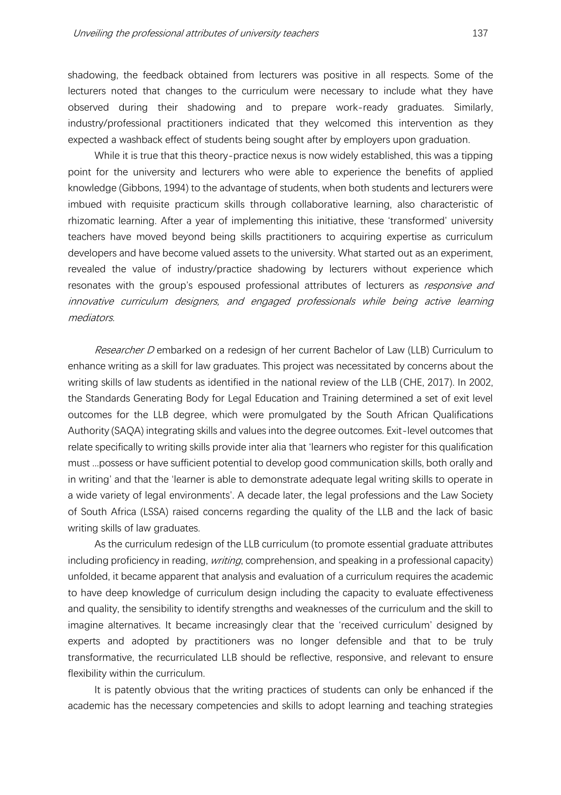shadowing, the feedback obtained from lecturers was positive in all respects. Some of the lecturers noted that changes to the curriculum were necessary to include what they have observed during their shadowing and to prepare work-ready graduates. Similarly, industry/professional practitioners indicated that they welcomed this intervention as they expected a washback effect of students being sought after by employers upon graduation.

While it is true that this theory-practice nexus is now widely established, this was a tipping point for the university and lecturers who were able to experience the benefits of applied knowledge (Gibbons, 1994) to the advantage of students, when both students and lecturers were imbued with requisite practicum skills through collaborative learning, also characteristic of rhizomatic learning. After a year of implementing this initiative, these 'transformed' university teachers have moved beyond being skills practitioners to acquiring expertise as curriculum developers and have become valued assets to the university. What started out as an experiment, revealed the value of industry/practice shadowing by lecturers without experience which resonates with the group's espoused professional attributes of lecturers as *responsive and* innovative curriculum designers, and engaged professionals while being active learning mediators.

Researcher D embarked on a redesign of her current Bachelor of Law (LLB) Curriculum to enhance writing as a skill for law graduates. This project was necessitated by concerns about the writing skills of law students as identified in the national review of the LLB (CHE, 2017). In 2002, the Standards Generating Body for Legal Education and Training determined a set of exit level outcomes for the LLB degree, which were promulgated by the South African Qualifications Authority (SAQA) integrating skills and values into the degree outcomes. Exit-level outcomes that relate specifically to writing skills provide inter alia that 'learners who register for this qualification must ...possess or have sufficient potential to develop good communication skills, both orally and in writing' and that the 'learner is able to demonstrate adequate legal writing skills to operate in a wide variety of legal environments'. A decade later, the legal professions and the Law Society of South Africa (LSSA) raised concerns regarding the quality of the LLB and the lack of basic writing skills of law graduates.

As the curriculum redesign of the LLB curriculum (to promote essential graduate attributes including proficiency in reading, *writing*, comprehension, and speaking in a professional capacity) unfolded, it became apparent that analysis and evaluation of a curriculum requires the academic to have deep knowledge of curriculum design including the capacity to evaluate effectiveness and quality, the sensibility to identify strengths and weaknesses of the curriculum and the skill to imagine alternatives. It became increasingly clear that the 'received curriculum' designed by experts and adopted by practitioners was no longer defensible and that to be truly transformative, the recurriculated LLB should be reflective, responsive, and relevant to ensure flexibility within the curriculum.

It is patently obvious that the writing practices of students can only be enhanced if the academic has the necessary competencies and skills to adopt learning and teaching strategies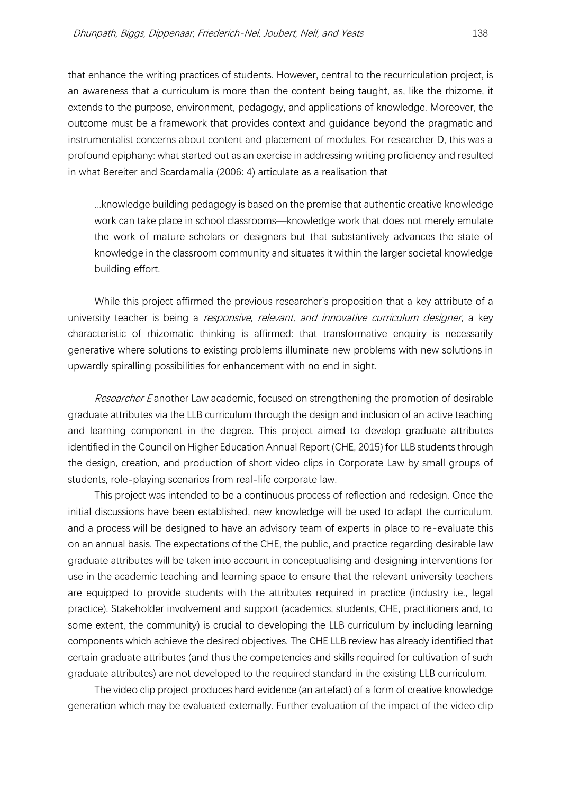that enhance the writing practices of students. However, central to the recurriculation project, is an awareness that a curriculum is more than the content being taught, as, like the rhizome, it extends to the purpose, environment, pedagogy, and applications of knowledge. Moreover, the outcome must be a framework that provides context and guidance beyond the pragmatic and instrumentalist concerns about content and placement of modules. For researcher D, this was a profound epiphany: what started out as an exercise in addressing writing proficiency and resulted in what Bereiter and Scardamalia (2006: 4) articulate as a realisation that

...knowledge building pedagogy is based on the premise that authentic creative knowledge work can take place in school classrooms—knowledge work that does not merely emulate the work of mature scholars or designers but that substantively advances the state of knowledge in the classroom community and situates it within the larger societal knowledge building effort.

While this project affirmed the previous researcher's proposition that a key attribute of a university teacher is being a *responsive, relevant, and innovative curriculum designer*, a key characteristic of rhizomatic thinking is affirmed: that transformative enquiry is necessarily generative where solutions to existing problems illuminate new problems with new solutions in upwardly spiralling possibilities for enhancement with no end in sight.

Researcher E another Law academic, focused on strengthening the promotion of desirable graduate attributes via the LLB curriculum through the design and inclusion of an active teaching and learning component in the degree. This project aimed to develop graduate attributes identified in the Council on Higher Education Annual Report (CHE, 2015) for LLB students through the design, creation, and production of short video clips in Corporate Law by small groups of students, role-playing scenarios from real-life corporate law.

This project was intended to be a continuous process of reflection and redesign. Once the initial discussions have been established, new knowledge will be used to adapt the curriculum, and a process will be designed to have an advisory team of experts in place to re-evaluate this on an annual basis. The expectations of the CHE, the public, and practice regarding desirable law graduate attributes will be taken into account in conceptualising and designing interventions for use in the academic teaching and learning space to ensure that the relevant university teachers are equipped to provide students with the attributes required in practice (industry i.e., legal practice). Stakeholder involvement and support (academics, students, CHE, practitioners and, to some extent, the community) is crucial to developing the LLB curriculum by including learning components which achieve the desired objectives. The CHE LLB review has already identified that certain graduate attributes (and thus the competencies and skills required for cultivation of such graduate attributes) are not developed to the required standard in the existing LLB curriculum.

The video clip project produces hard evidence (an artefact) of a form of creative knowledge generation which may be evaluated externally. Further evaluation of the impact of the video clip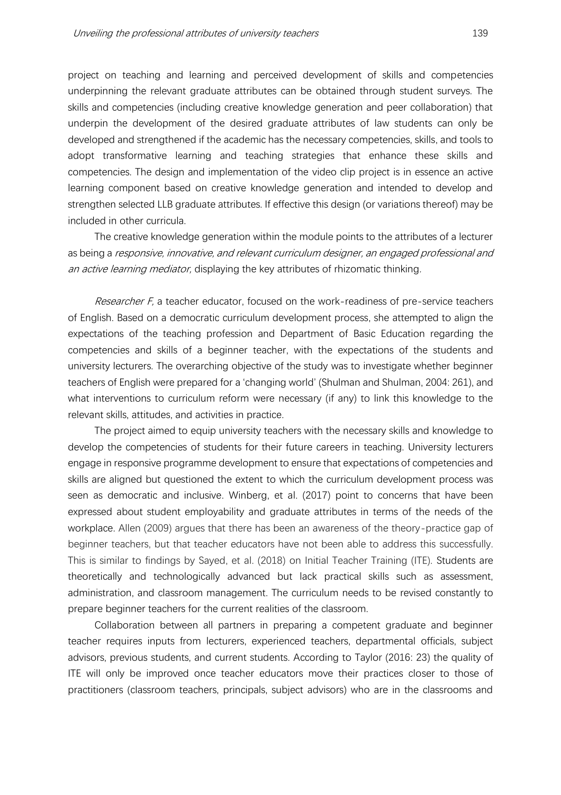project on teaching and learning and perceived development of skills and competencies underpinning the relevant graduate attributes can be obtained through student surveys. The skills and competencies (including creative knowledge generation and peer collaboration) that underpin the development of the desired graduate attributes of law students can only be developed and strengthened if the academic has the necessary competencies, skills, and tools to adopt transformative learning and teaching strategies that enhance these skills and competencies. The design and implementation of the video clip project is in essence an active learning component based on creative knowledge generation and intended to develop and strengthen selected LLB graduate attributes. If effective this design (or variations thereof) may be included in other curricula.

The creative knowledge generation within the module points to the attributes of a lecturer as being a responsive, innovative, and relevant curriculum designer, an engaged professional and an active learning mediator, displaying the key attributes of rhizomatic thinking.

Researcher F, a teacher educator, focused on the work-readiness of pre-service teachers of English. Based on a democratic curriculum development process, she attempted to align the expectations of the teaching profession and Department of Basic Education regarding the competencies and skills of a beginner teacher, with the expectations of the students and university lecturers. The overarching objective of the study was to investigate whether beginner teachers of English were prepared for a 'changing world' (Shulman and Shulman, 2004: 261), and what interventions to curriculum reform were necessary (if any) to link this knowledge to the relevant skills, attitudes, and activities in practice.

The project aimed to equip university teachers with the necessary skills and knowledge to develop the competencies of students for their future careers in teaching. University lecturers engage in responsive programme development to ensure that expectations of competencies and skills are aligned but questioned the extent to which the curriculum development process was seen as democratic and inclusive. Winberg, et al. (2017) point to concerns that have been expressed about student employability and graduate attributes in terms of the needs of the workplace. Allen (2009) argues that there has been an awareness of the theory-practice gap of beginner teachers, but that teacher educators have not been able to address this successfully. This is similar to findings by Sayed, et al. (2018) on Initial Teacher Training (ITE). Students are theoretically and technologically advanced but lack practical skills such as assessment, administration, and classroom management. The curriculum needs to be revised constantly to prepare beginner teachers for the current realities of the classroom.

Collaboration between all partners in preparing a competent graduate and beginner teacher requires inputs from lecturers, experienced teachers, departmental officials, subject advisors, previous students, and current students. According to Taylor (2016: 23) the quality of ITE will only be improved once teacher educators move their practices closer to those of practitioners (classroom teachers, principals, subject advisors) who are in the classrooms and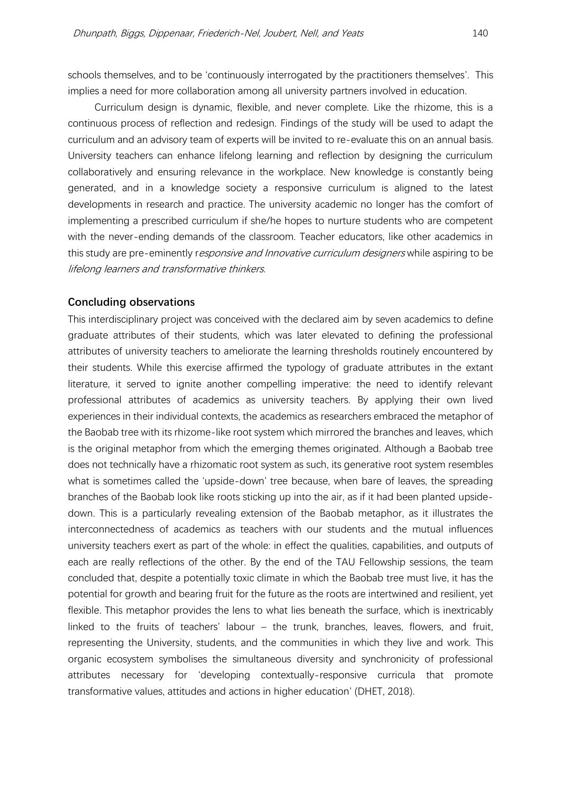schools themselves, and to be 'continuously interrogated by the practitioners themselves'. This implies a need for more collaboration among all university partners involved in education.

Curriculum design is dynamic, flexible, and never complete. Like the rhizome, this is a continuous process of reflection and redesign. Findings of the study will be used to adapt the curriculum and an advisory team of experts will be invited to re-evaluate this on an annual basis. University teachers can enhance lifelong learning and reflection by designing the curriculum collaboratively and ensuring relevance in the workplace. New knowledge is constantly being generated, and in a knowledge society a responsive curriculum is aligned to the latest developments in research and practice. The university academic no longer has the comfort of implementing a prescribed curriculum if she/he hopes to nurture students who are competent with the never-ending demands of the classroom. Teacher educators, like other academics in this study are pre-eminently responsive and Innovative curriculum designers while aspiring to be lifelong learners and transformative thinkers.

#### **Concluding observations**

This interdisciplinary project was conceived with the declared aim by seven academics to define graduate attributes of their students, which was later elevated to defining the professional attributes of university teachers to ameliorate the learning thresholds routinely encountered by their students. While this exercise affirmed the typology of graduate attributes in the extant literature, it served to ignite another compelling imperative: the need to identify relevant professional attributes of academics as university teachers. By applying their own lived experiences in their individual contexts, the academics as researchers embraced the metaphor of the Baobab tree with its rhizome-like root system which mirrored the branches and leaves, which is the original metaphor from which the emerging themes originated. Although a Baobab tree does not technically have a rhizomatic root system as such, its generative root system resembles what is sometimes called the 'upside-down' tree because, when bare of leaves, the spreading branches of the Baobab look like roots sticking up into the air, as if it had been planted upsidedown. This is a particularly revealing extension of the Baobab metaphor, as it illustrates the interconnectedness of academics as teachers with our students and the mutual influences university teachers exert as part of the whole: in effect the qualities, capabilities, and outputs of each are really reflections of the other. By the end of the TAU Fellowship sessions, the team concluded that, despite a potentially toxic climate in which the Baobab tree must live, it has the potential for growth and bearing fruit for the future as the roots are intertwined and resilient, yet flexible. This metaphor provides the lens to what lies beneath the surface, which is inextricably linked to the fruits of teachers' labour – the trunk, branches, leaves, flowers, and fruit, representing the University, students, and the communities in which they live and work. This organic ecosystem symbolises the simultaneous diversity and synchronicity of professional attributes necessary for 'developing contextually-responsive curricula that promote transformative values, attitudes and actions in higher education' (DHET, 2018).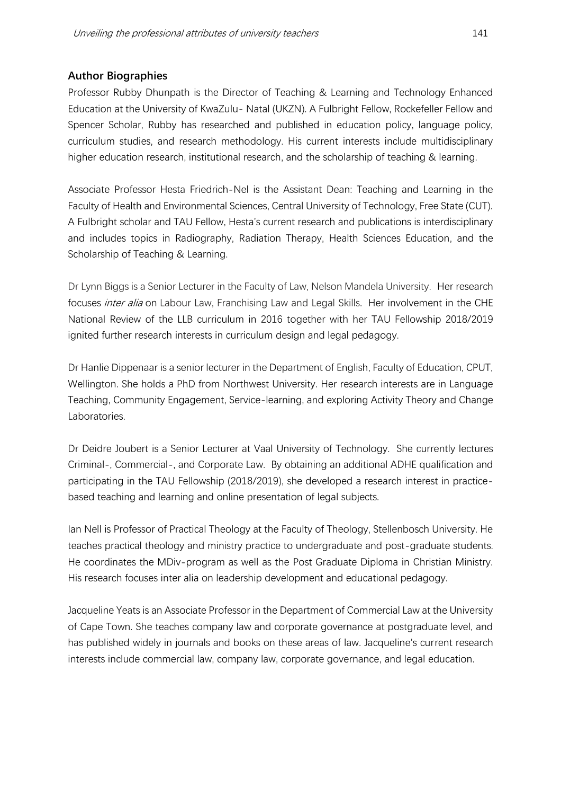# **Author Biographies**

Professor Rubby Dhunpath is the Director of Teaching & Learning and Technology Enhanced Education at the University of KwaZulu- Natal (UKZN). A Fulbright Fellow, Rockefeller Fellow and Spencer Scholar, Rubby has researched and published in education policy, language policy, curriculum studies, and research methodology. His current interests include multidisciplinary higher education research, institutional research, and the scholarship of teaching & learning.

Associate Professor Hesta Friedrich-Nel is the Assistant Dean: Teaching and Learning in the Faculty of Health and Environmental Sciences, Central University of Technology, Free State (CUT). A Fulbright scholar and TAU Fellow, Hesta's current research and publications is interdisciplinary and includes topics in Radiography, Radiation Therapy, Health Sciences Education, and the Scholarship of Teaching & Learning.

Dr Lynn Biggs is a Senior Lecturer in the Faculty of Law, Nelson Mandela University. Her research focuses *inter alia* on Labour Law, Franchising Law and Legal Skills. Her involvement in the CHE National Review of the LLB curriculum in 2016 together with her TAU Fellowship 2018/2019 ignited further research interests in curriculum design and legal pedagogy.

Dr Hanlie Dippenaar is a senior lecturer in the Department of English, Faculty of Education, CPUT, Wellington. She holds a PhD from Northwest University. Her research interests are in Language Teaching, Community Engagement, Service-learning, and exploring Activity Theory and Change Laboratories.

Dr Deidre Joubert is a Senior Lecturer at Vaal University of Technology. She currently lectures Criminal-, Commercial-, and Corporate Law. By obtaining an additional ADHE qualification and participating in the TAU Fellowship (2018/2019), she developed a research interest in practicebased teaching and learning and online presentation of legal subjects.

Ian Nell is Professor of Practical Theology at the Faculty of Theology, Stellenbosch University. He teaches practical theology and ministry practice to undergraduate and post-graduate students. He coordinates the MDiv-program as well as the Post Graduate Diploma in Christian Ministry. His research focuses inter alia on leadership development and educational pedagogy.

Jacqueline Yeats is an Associate Professor in the Department of Commercial Law at the University of Cape Town. She teaches company law and corporate governance at postgraduate level, and has published widely in journals and books on these areas of law. Jacqueline's current research interests include commercial law, company law, corporate governance, and legal education.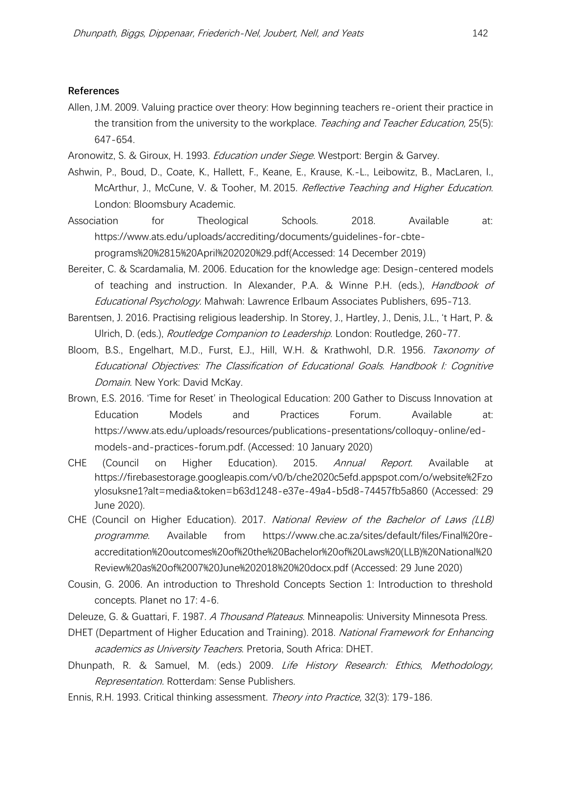#### **References**

- Allen, J.M. 2009. Valuing practice over theory: How beginning teachers re-orient their practice in the transition from the university to the workplace. Teaching and Teacher Education, 25(5): 647-654.
- Aronowitz, S. & Giroux, H. 1993. *Education under Siege*. Westport: Bergin & Garvey.
- Ashwin, P., Boud, D., Coate, K., Hallett, F., Keane, E., Krause, K.-L., Leibowitz, B., MacLaren, I., McArthur, J., McCune, V. & Tooher, M. 2015. Reflective Teaching and Higher Education. London: Bloomsbury Academic.
- Association for Theological Schools. 2018. Available at: https://www.ats.edu/uploads/accrediting/documents/guidelines-for-cbteprograms%20%2815%20April%202020%29.pdf(Accessed: 14 December 2019)
- Bereiter, C. & Scardamalia, M. 2006. Education for the knowledge age: Design-centered models of teaching and instruction. In Alexander, P.A. & Winne P.H. (eds.), *Handbook of* Educational Psychology. Mahwah: Lawrence Erlbaum Associates Publishers, 695-713.
- Barentsen, J. 2016. Practising religious leadership. In Storey, J., Hartley, J., Denis, J.L., 't Hart, P. & Ulrich, D. (eds.), Routledge Companion to Leadership. London: Routledge, 260-77.
- Bloom, B.S., Engelhart, M.D., Furst, E.J., Hill, W.H. & Krathwohl, D.R. 1956. Taxonomy of Educational Objectives: The Classification of Educational Goals. Handbook I: Cognitive Domain. New York: David McKay.
- Brown, E.S. 2016. 'Time for Reset' in Theological Education: 200 Gather to Discuss Innovation at Education Models and Practices Forum. Available at: https://www.ats.edu/uploads/resources/publications-presentations/colloquy-online/edmodels-and-practices-forum.pdf. (Accessed: 10 January 2020)
- CHE (Council on Higher Education). 2015. Annual Report. Available at https://firebasestorage.googleapis.com/v0/b/che2020c5efd.appspot.com/o/website%2Fzo ylosuksne1?alt=media&token=b63d1248-e37e-49a4-b5d8-74457fb5a860 (Accessed: 29 June 2020).
- CHE (Council on Higher Education). 2017. National Review of the Bachelor of Laws (LLB) programme. Available from https://www.che.ac.za/sites/default/files/Final%20reaccreditation%20outcomes%20of%20the%20Bachelor%20of%20Laws%20(LLB)%20National%20 Review%20as%20of%2007%20June%202018%20%20docx.pdf (Accessed: 29 June 2020)
- Cousin, G. 2006. An introduction to Threshold Concepts Section 1: Introduction to threshold concepts. Planet no 17: 4-6.
- Deleuze, G. & Guattari, F. 1987. A Thousand Plateaus. Minneapolis: University Minnesota Press.
- DHET (Department of Higher Education and Training). 2018. National Framework for Enhancing academics as University Teachers. Pretoria, South Africa: DHET.
- Dhunpath, R. & Samuel, M. (eds.) 2009. Life History Research: Ethics, Methodology, Representation. Rotterdam: Sense Publishers.
- Ennis, R.H. 1993. Critical thinking assessment. Theory into Practice, 32(3): 179-186.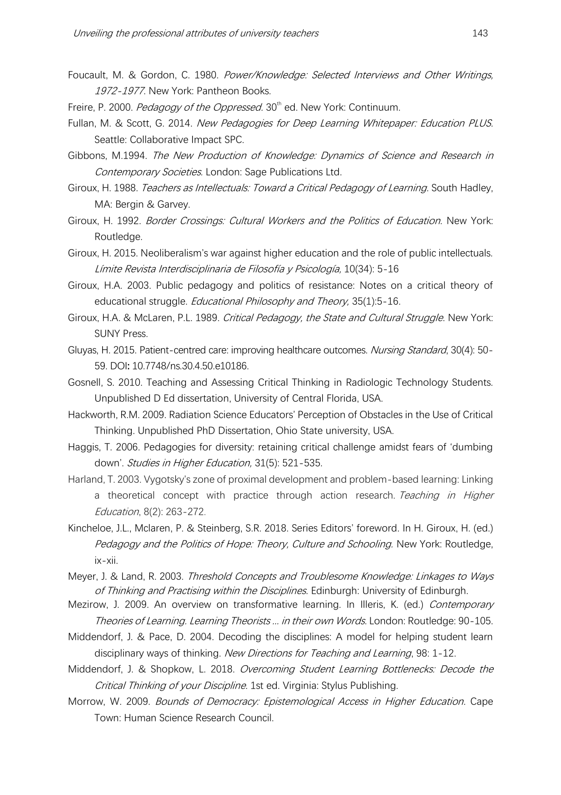- Foucault, M. & Gordon, C. 1980. Power/Knowledge: Selected Interviews and Other Writings, 1972-1977. New York: Pantheon Books.
- Freire, P. 2000. Pedagogy of the Oppressed. 30<sup>th</sup> ed. New York: Continuum.
- Fullan, M. & Scott, G. 2014. New Pedagogies for Deep Learning Whitepaper: Education PLUS. Seattle: Collaborative Impact SPC.
- Gibbons, M.1994. The New Production of Knowledge: Dynamics of Science and Research in Contemporary Societies. London: Sage Publications Ltd.
- Giroux, H. 1988. Teachers as Intellectuals: Toward a Critical Pedagogy of Learning. South Hadley, MA: Bergin & Garvey.
- Giroux, H. 1992. Border Crossings: Cultural Workers and the Politics of Education. New York: Routledge.
- Giroux, H. 2015. Neoliberalism's war against higher education and the role of public intellectuals. <sup>L</sup>ímite Revista Interdisciplinaria de Filosofía y Psicología, 10(34): 5-16
- Giroux, H.A. 2003. Public pedagogy and politics of resistance: Notes on a critical theory of educational struggle. *Educational Philosophy and Theory*, 35(1):5-16.
- Giroux, H.A. & McLaren, P.L. 1989. Critical Pedagogy, the State and Cultural Struggle. New York: SUNY Press.
- Gluyas, H. 2015. Patient-centred care: improving healthcare outcomes. Nursing Standard, 30(4): 50-59. DOI**:** 10.7748/ns.30.4.50.e10186.
- Gosnell, S. 2010. Teaching and Assessing Critical Thinking in Radiologic Technology Students. Unpublished D Ed dissertation, University of Central Florida, USA.
- Hackworth, R.M. 2009. Radiation Science Educators' Perception of Obstacles in the Use of Critical Thinking. Unpublished PhD Dissertation, Ohio State university, USA.
- Haggis, T. 2006. Pedagogies for diversity: retaining critical challenge amidst fears of 'dumbing down'. Studies in Higher Education, 31(5): 521-535.
- Harland, T. 2003. Vygotsky's zone of proximal development and problem-based learning: Linking a theoretical concept with practice through action research. Teaching in Higher Education, 8(2): 263-272.
- Kincheloe, J.L., Mclaren, P. & Steinberg, S.R. 2018. Series Editors' foreword. In H. Giroux, H. (ed.) Pedagogy and the Politics of Hope: Theory, Culture and Schooling. New York: Routledge, ix-xii.
- Meyer, J. & Land, R. 2003. Threshold Concepts and Troublesome Knowledge: Linkages to Ways of Thinking and Practising within the Disciplines. Edinburgh: University of Edinburgh.
- Mezirow, J. 2009. An overview on transformative learning. In Illeris, K. (ed.) Contemporary Theories of Learning. Learning Theorists ... in their own Words. London: Routledge: 90-105.
- Middendorf, J. & Pace, D. 2004. Decoding the disciplines: A model for helping student learn disciplinary ways of thinking. New Directions for Teaching and Learning, 98: 1-12.
- Middendorf, J. & Shopkow, L. 2018. Overcoming Student Learning Bottlenecks: Decode the Critical Thinking of your Discipline. 1st ed. Virginia: Stylus Publishing.
- Morrow, W. 2009. Bounds of Democracy: Epistemological Access in Higher Education. Cape Town: Human Science Research Council.